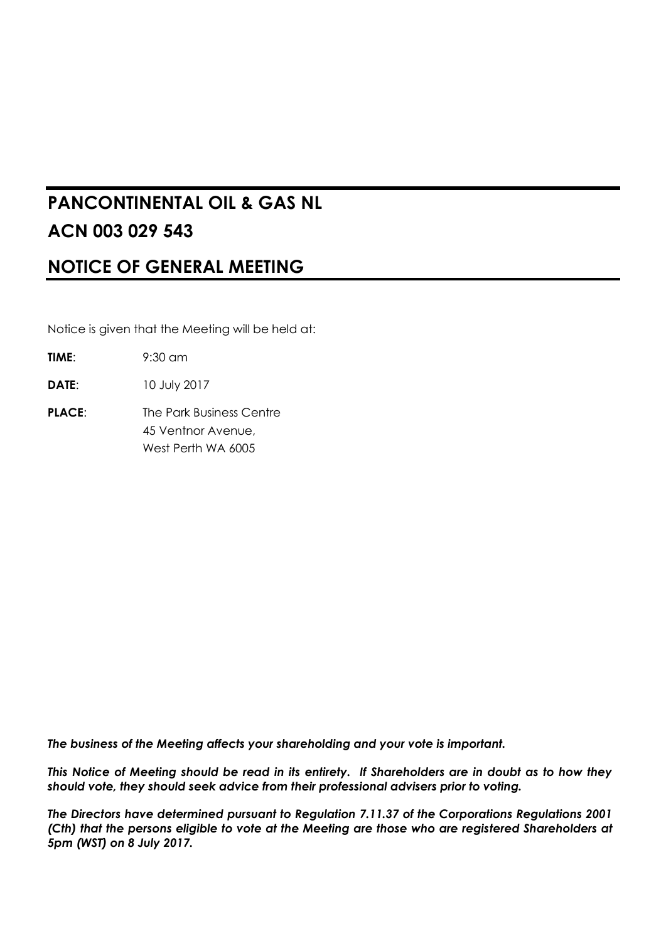# **PANCONTINENTAL OIL & GAS NL ACN 003 029 543**

# **NOTICE OF GENERAL MEETING**

Notice is given that the Meeting will be held at:

| TIME:         | $9:30 \text{ cm}$                              |
|---------------|------------------------------------------------|
| DATE:         | 10 July 2017                                   |
| <b>PLACE:</b> | The Park Business Centre<br>45 Ventnor Avenue, |
|               | West Perth WA 6005                             |

*The business of the Meeting affects your shareholding and your vote is important.*

*This Notice of Meeting should be read in its entirety. If Shareholders are in doubt as to how they should vote, they should seek advice from their professional advisers prior to voting.*

*The Directors have determined pursuant to Regulation 7.11.37 of the Corporations Regulations 2001 (Cth) that the persons eligible to vote at the Meeting are those who are registered Shareholders at 5pm (WST) on 8 July 2017.*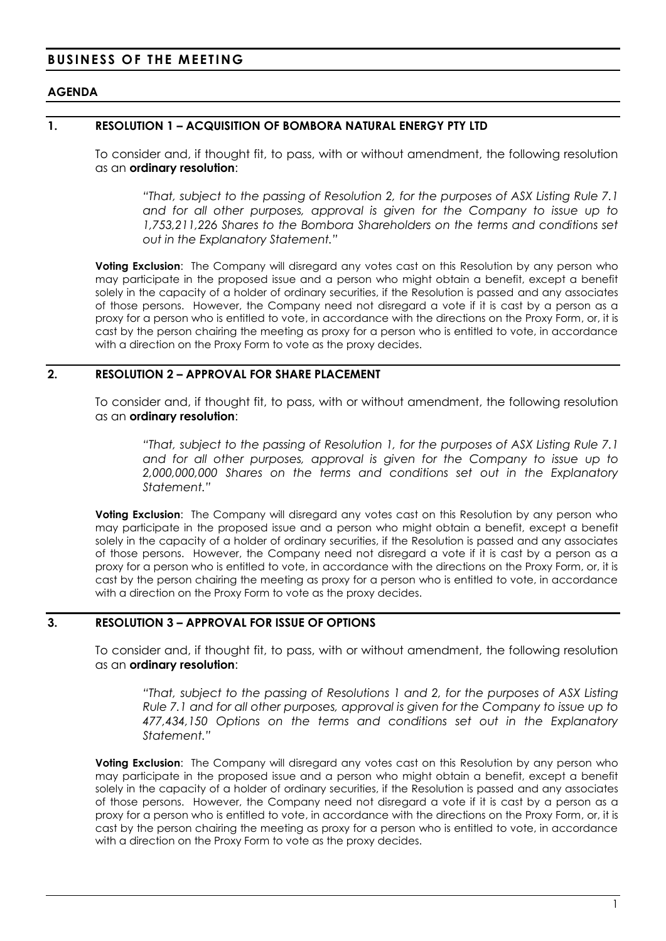### **AGENDA**

#### **1. RESOLUTION 1 – ACQUISITION OF BOMBORA NATURAL ENERGY PTY LTD**

To consider and, if thought fit, to pass, with or without amendment, the following resolution as an **ordinary resolution**:

*"That, subject to the passing of Resolution 2, for the purposes of ASX Listing Rule 7.1 and for all other purposes, approval is given for the Company to issue up to 1,753,211,226 Shares to the Bombora Shareholders on the terms and conditions set out in the Explanatory Statement."*

**Voting Exclusion**: The Company will disregard any votes cast on this Resolution by any person who may participate in the proposed issue and a person who might obtain a benefit, except a benefit solely in the capacity of a holder of ordinary securities, if the Resolution is passed and any associates of those persons. However, the Company need not disregard a vote if it is cast by a person as a proxy for a person who is entitled to vote, in accordance with the directions on the Proxy Form, or, it is cast by the person chairing the meeting as proxy for a person who is entitled to vote, in accordance with a direction on the Proxy Form to vote as the proxy decides.

### **2. RESOLUTION 2 – APPROVAL FOR SHARE PLACEMENT**

To consider and, if thought fit, to pass, with or without amendment, the following resolution as an **ordinary resolution**:

*"That, subject to the passing of Resolution 1, for the purposes of ASX Listing Rule 7.1 and for all other purposes, approval is given for the Company to issue up to 2,000,000,000 Shares on the terms and conditions set out in the Explanatory Statement."*

**Voting Exclusion:** The Company will disregard any votes cast on this Resolution by any person who may participate in the proposed issue and a person who might obtain a benefit, except a benefit solely in the capacity of a holder of ordinary securities, if the Resolution is passed and any associates of those persons. However, the Company need not disregard a vote if it is cast by a person as a proxy for a person who is entitled to vote, in accordance with the directions on the Proxy Form, or, it is cast by the person chairing the meeting as proxy for a person who is entitled to vote, in accordance with a direction on the Proxy Form to vote as the proxy decides.

### **3. RESOLUTION 3 – APPROVAL FOR ISSUE OF OPTIONS**

To consider and, if thought fit, to pass, with or without amendment, the following resolution as an **ordinary resolution**:

*"That, subject to the passing of Resolutions 1 and 2, for the purposes of ASX Listing Rule 7.1 and for all other purposes, approval is given for the Company to issue up to 477,434,150 Options on the terms and conditions set out in the Explanatory Statement."*

**Voting Exclusion**: The Company will disregard any votes cast on this Resolution by any person who may participate in the proposed issue and a person who might obtain a benefit, except a benefit solely in the capacity of a holder of ordinary securities, if the Resolution is passed and any associates of those persons. However, the Company need not disregard a vote if it is cast by a person as a proxy for a person who is entitled to vote, in accordance with the directions on the Proxy Form, or, it is cast by the person chairing the meeting as proxy for a person who is entitled to vote, in accordance with a direction on the Proxy Form to vote as the proxy decides.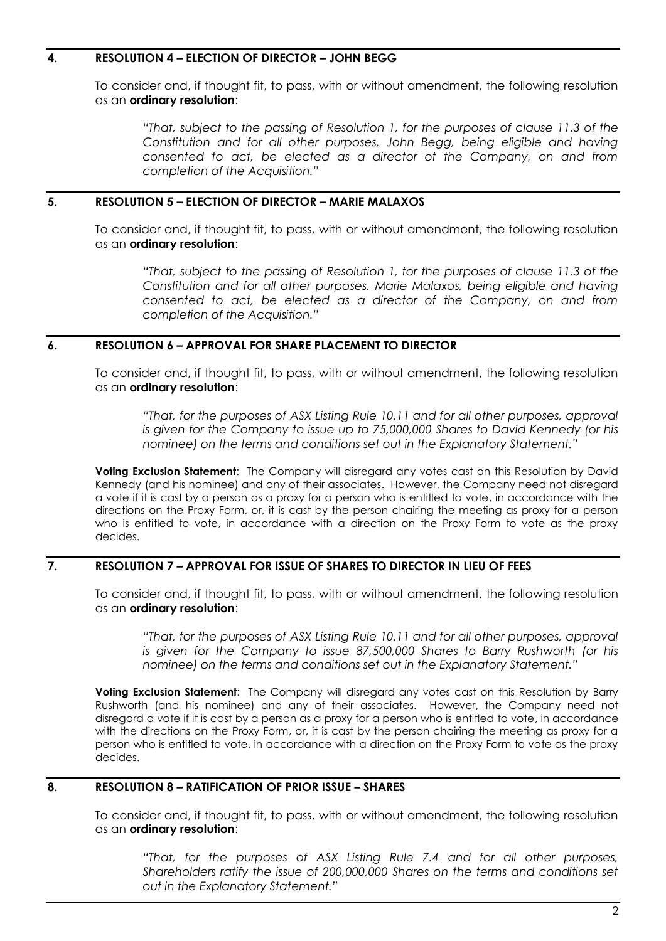### **4. RESOLUTION 4 – ELECTION OF DIRECTOR – JOHN BEGG**

To consider and, if thought fit, to pass, with or without amendment, the following resolution as an **ordinary resolution**:

*"That, subject to the passing of Resolution 1, for the purposes of clause 11.3 of the Constitution and for all other purposes, John Begg, being eligible and having consented to act, be elected as a director of the Company, on and from completion of the Acquisition."*

### **5. RESOLUTION 5 – ELECTION OF DIRECTOR – MARIE MALAXOS**

To consider and, if thought fit, to pass, with or without amendment, the following resolution as an **ordinary resolution**:

*"That, subject to the passing of Resolution 1, for the purposes of clause 11.3 of the Constitution and for all other purposes, Marie Malaxos, being eligible and having consented to act, be elected as a director of the Company, on and from completion of the Acquisition."*

### **6. RESOLUTION 6 – APPROVAL FOR SHARE PLACEMENT TO DIRECTOR**

To consider and, if thought fit, to pass, with or without amendment, the following resolution as an **ordinary resolution**:

*"That, for the purposes of ASX Listing Rule 10.11 and for all other purposes, approval is given for the Company to issue up to 75,000,000 Shares to David Kennedy (or his nominee) on the terms and conditions set out in the Explanatory Statement."*

**Voting Exclusion Statement:** The Company will disregard any votes cast on this Resolution by David Kennedy (and his nominee) and any of their associates. However, the Company need not disregard a vote if it is cast by a person as a proxy for a person who is entitled to vote, in accordance with the directions on the Proxy Form, or, it is cast by the person chairing the meeting as proxy for a person who is entitled to vote, in accordance with a direction on the Proxy Form to vote as the proxy decides.

### **7. RESOLUTION 7 – APPROVAL FOR ISSUE OF SHARES TO DIRECTOR IN LIEU OF FEES**

To consider and, if thought fit, to pass, with or without amendment, the following resolution as an **ordinary resolution**:

*"That, for the purposes of ASX Listing Rule 10.11 and for all other purposes, approval is given for the Company to issue 87,500,000 Shares to Barry Rushworth (or his nominee) on the terms and conditions set out in the Explanatory Statement."*

**Voting Exclusion Statement**: The Company will disregard any votes cast on this Resolution by Barry Rushworth (and his nominee) and any of their associates. However, the Company need not disregard a vote if it is cast by a person as a proxy for a person who is entitled to vote, in accordance with the directions on the Proxy Form, or, it is cast by the person chairing the meeting as proxy for a person who is entitled to vote, in accordance with a direction on the Proxy Form to vote as the proxy decides.

### **8. RESOLUTION 8 – RATIFICATION OF PRIOR ISSUE – SHARES**

To consider and, if thought fit, to pass, with or without amendment, the following resolution as an **ordinary resolution**:

*"That, for the purposes of ASX Listing Rule 7.4 and for all other purposes, Shareholders ratify the issue of 200,000,000 Shares on the terms and conditions set out in the Explanatory Statement."*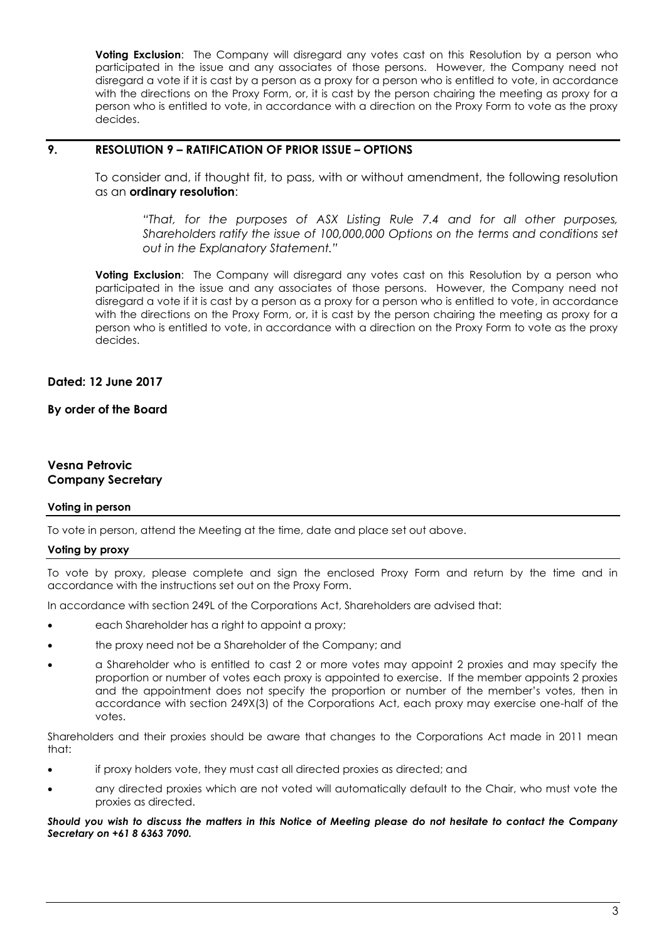**Voting Exclusion**: The Company will disregard any votes cast on this Resolution by a person who participated in the issue and any associates of those persons. However, the Company need not disregard a vote if it is cast by a person as a proxy for a person who is entitled to vote, in accordance with the directions on the Proxy Form, or, it is cast by the person chairing the meeting as proxy for a person who is entitled to vote, in accordance with a direction on the Proxy Form to vote as the proxy decides.

### **9. RESOLUTION 9 – RATIFICATION OF PRIOR ISSUE – OPTIONS**

To consider and, if thought fit, to pass, with or without amendment, the following resolution as an **ordinary resolution**:

*"That, for the purposes of ASX Listing Rule 7.4 and for all other purposes, Shareholders ratify the issue of 100,000,000 Options on the terms and conditions set out in the Explanatory Statement."*

**Voting Exclusion**: The Company will disregard any votes cast on this Resolution by a person who participated in the issue and any associates of those persons. However, the Company need not disregard a vote if it is cast by a person as a proxy for a person who is entitled to vote, in accordance with the directions on the Proxy Form, or, it is cast by the person chairing the meeting as proxy for a person who is entitled to vote, in accordance with a direction on the Proxy Form to vote as the proxy decides.

### **Dated: 12 June 2017**

#### **By order of the Board**

### **Vesna Petrovic Company Secretary**

#### **Voting in person**

To vote in person, attend the Meeting at the time, date and place set out above.

#### **Voting by proxy**

To vote by proxy, please complete and sign the enclosed Proxy Form and return by the time and in accordance with the instructions set out on the Proxy Form.

In accordance with section 249L of the Corporations Act, Shareholders are advised that:

- each Shareholder has a right to appoint a proxy;
- the proxy need not be a Shareholder of the Company; and
- a Shareholder who is entitled to cast 2 or more votes may appoint 2 proxies and may specify the proportion or number of votes each proxy is appointed to exercise. If the member appoints 2 proxies and the appointment does not specify the proportion or number of the member's votes, then in accordance with section 249X(3) of the Corporations Act, each proxy may exercise one-half of the votes.

Shareholders and their proxies should be aware that changes to the Corporations Act made in 2011 mean that:

- if proxy holders vote, they must cast all directed proxies as directed; and
- any directed proxies which are not voted will automatically default to the Chair, who must vote the proxies as directed.

*Should you wish to discuss the matters in this Notice of Meeting please do not hesitate to contact the Company Secretary on +61 8 6363 7090.*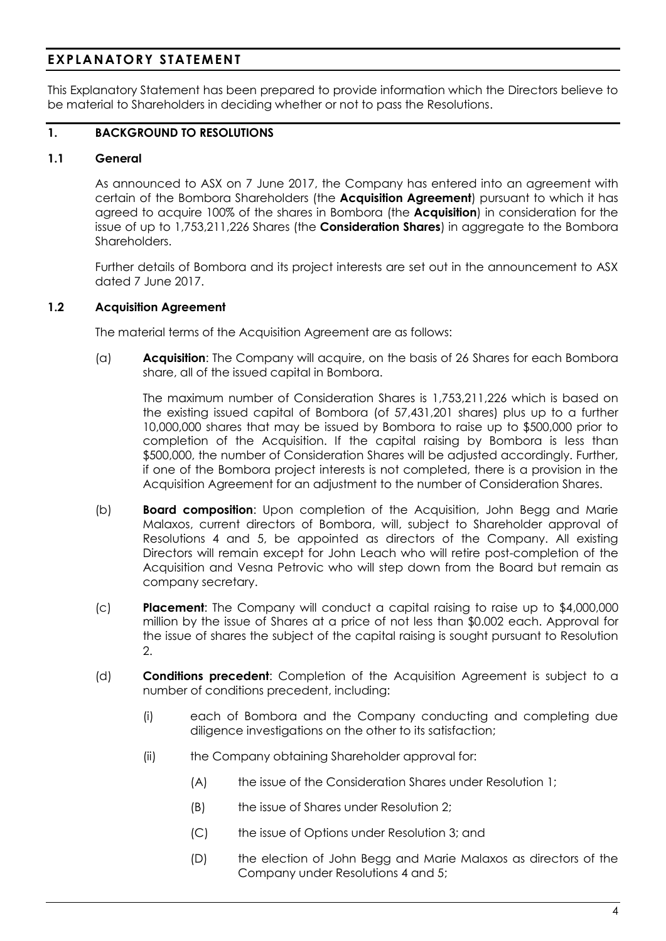### **EXPLANATORY STATEMENT**

This Explanatory Statement has been prepared to provide information which the Directors believe to be material to Shareholders in deciding whether or not to pass the Resolutions.

### **1. BACKGROUND TO RESOLUTIONS**

### **1.1 General**

As announced to ASX on 7 June 2017, the Company has entered into an agreement with certain of the Bombora Shareholders (the **Acquisition Agreement**) pursuant to which it has agreed to acquire 100% of the shares in Bombora (the **Acquisition**) in consideration for the issue of up to 1,753,211,226 Shares (the **Consideration Shares**) in aggregate to the Bombora Shareholders.

Further details of Bombora and its project interests are set out in the announcement to ASX dated 7 June 2017.

### **1.2 Acquisition Agreement**

The material terms of the Acquisition Agreement are as follows:

(a) **Acquisition**: The Company will acquire, on the basis of 26 Shares for each Bombora share, all of the issued capital in Bombora.

The maximum number of Consideration Shares is 1,753,211,226 which is based on the existing issued capital of Bombora (of 57,431,201 shares) plus up to a further 10,000,000 shares that may be issued by Bombora to raise up to \$500,000 prior to completion of the Acquisition. If the capital raising by Bombora is less than \$500,000, the number of Consideration Shares will be adjusted accordingly. Further, if one of the Bombora project interests is not completed, there is a provision in the Acquisition Agreement for an adjustment to the number of Consideration Shares.

- (b) **Board composition**: Upon completion of the Acquisition, John Begg and Marie Malaxos, current directors of Bombora, will, subject to Shareholder approval of Resolutions 4 and 5, be appointed as directors of the Company. All existing Directors will remain except for John Leach who will retire post-completion of the Acquisition and Vesna Petrovic who will step down from the Board but remain as company secretary.
- (c) **Placement**: The Company will conduct a capital raising to raise up to \$4,000,000 million by the issue of Shares at a price of not less than \$0.002 each. Approval for the issue of shares the subject of the capital raising is sought pursuant to Resolution 2.
- (d) **Conditions precedent**: Completion of the Acquisition Agreement is subject to a number of conditions precedent, including:
	- (i) each of Bombora and the Company conducting and completing due diligence investigations on the other to its satisfaction;
	- (ii) the Company obtaining Shareholder approval for:
		- (A) the issue of the Consideration Shares under Resolution 1;
		- (B) the issue of Shares under Resolution 2;
		- (C) the issue of Options under Resolution 3; and
		- (D) the election of John Begg and Marie Malaxos as directors of the Company under Resolutions 4 and 5;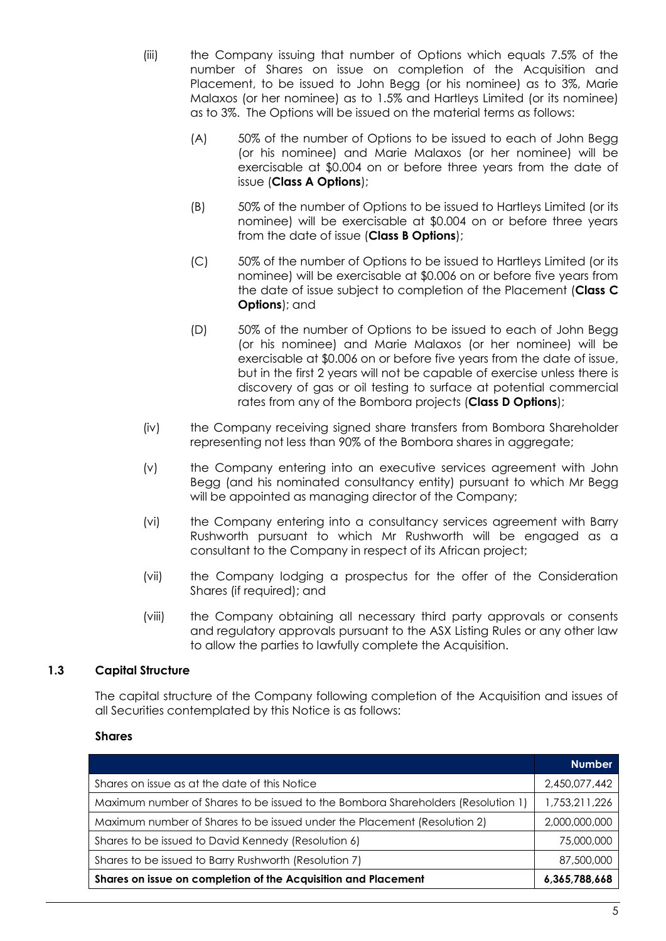- (iii) the Company issuing that number of Options which equals 7.5% of the number of Shares on issue on completion of the Acquisition and Placement, to be issued to John Begg (or his nominee) as to 3%, Marie Malaxos (or her nominee) as to 1.5% and Hartleys Limited (or its nominee) as to 3%. The Options will be issued on the material terms as follows:
	- (A) 50% of the number of Options to be issued to each of John Begg (or his nominee) and Marie Malaxos (or her nominee) will be exercisable at \$0.004 on or before three years from the date of issue (**Class A Options**);
	- (B) 50% of the number of Options to be issued to Hartleys Limited (or its nominee) will be exercisable at \$0.004 on or before three years from the date of issue (**Class B Options**);
	- (C) 50% of the number of Options to be issued to Hartleys Limited (or its nominee) will be exercisable at \$0.006 on or before five years from the date of issue subject to completion of the Placement (**Class C Options**); and
	- (D) 50% of the number of Options to be issued to each of John Begg (or his nominee) and Marie Malaxos (or her nominee) will be exercisable at \$0.006 on or before five years from the date of issue, but in the first 2 years will not be capable of exercise unless there is discovery of gas or oil testing to surface at potential commercial rates from any of the Bombora projects (**Class D Options**);
- (iv) the Company receiving signed share transfers from Bombora Shareholder representing not less than 90% of the Bombora shares in aggregate;
- (v) the Company entering into an executive services agreement with John Begg (and his nominated consultancy entity) pursuant to which Mr Begg will be appointed as managing director of the Company;
- (vi) the Company entering into a consultancy services agreement with Barry Rushworth pursuant to which Mr Rushworth will be engaged as a consultant to the Company in respect of its African project;
- (vii) the Company lodging a prospectus for the offer of the Consideration Shares (if required); and
- (viii) the Company obtaining all necessary third party approvals or consents and regulatory approvals pursuant to the ASX Listing Rules or any other law to allow the parties to lawfully complete the Acquisition.

### **1.3 Capital Structure**

The capital structure of the Company following completion of the Acquisition and issues of all Securities contemplated by this Notice is as follows:

### **Shares**

|                                                                                  | <b>Number</b> |
|----------------------------------------------------------------------------------|---------------|
| Shares on issue as at the date of this Notice                                    | 2,450,077,442 |
| Maximum number of Shares to be issued to the Bombora Shareholders (Resolution 1) | 1,753,211,226 |
| Maximum number of Shares to be issued under the Placement (Resolution 2)         | 2,000,000,000 |
| Shares to be issued to David Kennedy (Resolution 6)                              | 75,000,000    |
| Shares to be issued to Barry Rushworth (Resolution 7)                            | 87,500,000    |
| Shares on issue on completion of the Acquisition and Placement                   | 6,365,788,668 |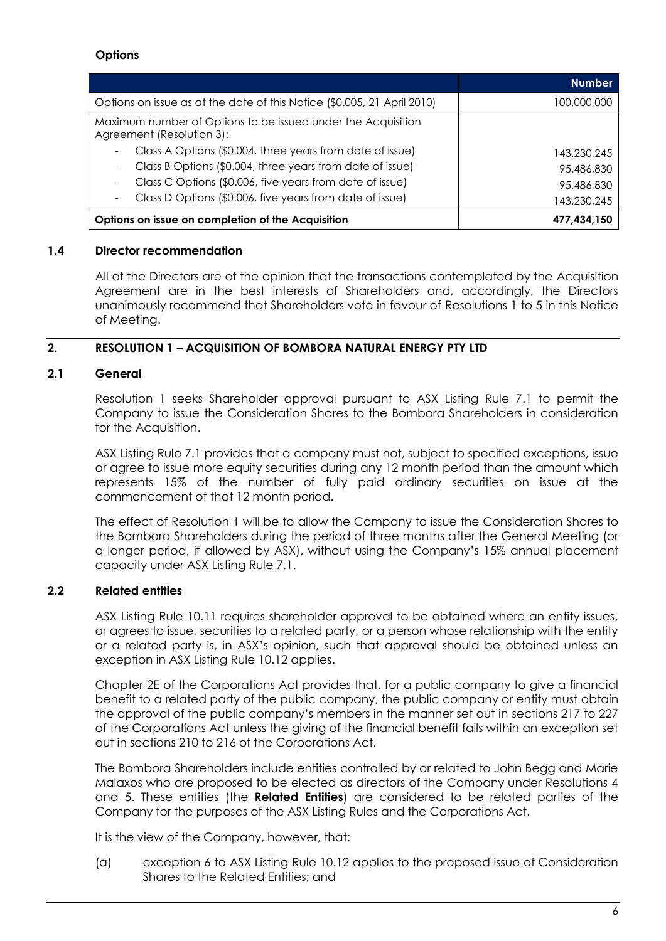### **Options**

|                                                                                           | <b>Number</b> |
|-------------------------------------------------------------------------------------------|---------------|
| Options on issue as at the date of this Notice (\$0.005, 21 April 2010)                   | 100,000,000   |
| Maximum number of Options to be issued under the Acquisition<br>Agreement (Resolution 3): |               |
| Class A Options (\$0.004, three years from date of issue)                                 | 143,230,245   |
| Class B Options (\$0.004, three years from date of issue)                                 | 95,486,830    |
| Class C Options (\$0.006, five years from date of issue)                                  | 95,486,830    |
| Class D Options (\$0.006, five years from date of issue)                                  | 143,230,245   |
| Options on issue on completion of the Acquisition                                         | 477.434.150   |

### **1.4 Director recommendation**

All of the Directors are of the opinion that the transactions contemplated by the Acquisition Agreement are in the best interests of Shareholders and, accordingly, the Directors unanimously recommend that Shareholders vote in favour of Resolutions 1 to 5 in this Notice of Meeting.

### **2. RESOLUTION 1 – ACQUISITION OF BOMBORA NATURAL ENERGY PTY LTD**

### **2.1 General**

Resolution 1 seeks Shareholder approval pursuant to ASX Listing Rule 7.1 to permit the Company to issue the Consideration Shares to the Bombora Shareholders in consideration for the Acquisition.

ASX Listing Rule 7.1 provides that a company must not, subject to specified exceptions, issue or agree to issue more equity securities during any 12 month period than the amount which represents 15% of the number of fully paid ordinary securities on issue at the commencement of that 12 month period.

The effect of Resolution 1 will be to allow the Company to issue the Consideration Shares to the Bombora Shareholders during the period of three months after the General Meeting (or a longer period, if allowed by ASX), without using the Company's 15% annual placement capacity under ASX Listing Rule 7.1.

### <span id="page-6-0"></span>**2.2 Related entities**

ASX Listing Rule 10.11 requires shareholder approval to be obtained where an entity issues, or agrees to issue, securities to a related party, or a person whose relationship with the entity or a related party is, in ASX's opinion, such that approval should be obtained unless an exception in ASX Listing Rule 10.12 applies.

Chapter 2E of the Corporations Act provides that, for a public company to give a financial benefit to a related party of the public company, the public company or entity must obtain the approval of the public company's members in the manner set out in sections 217 to 227 of the Corporations Act unless the giving of the financial benefit falls within an exception set out in sections 210 to 216 of the Corporations Act.

The Bombora Shareholders include entities controlled by or related to John Begg and Marie Malaxos who are proposed to be elected as directors of the Company under Resolutions 4 and 5. These entities (the **Related Entities**) are considered to be related parties of the Company for the purposes of the ASX Listing Rules and the Corporations Act.

It is the view of the Company, however, that:

(a) exception 6 to ASX Listing Rule 10.12 applies to the proposed issue of Consideration Shares to the Related Entities; and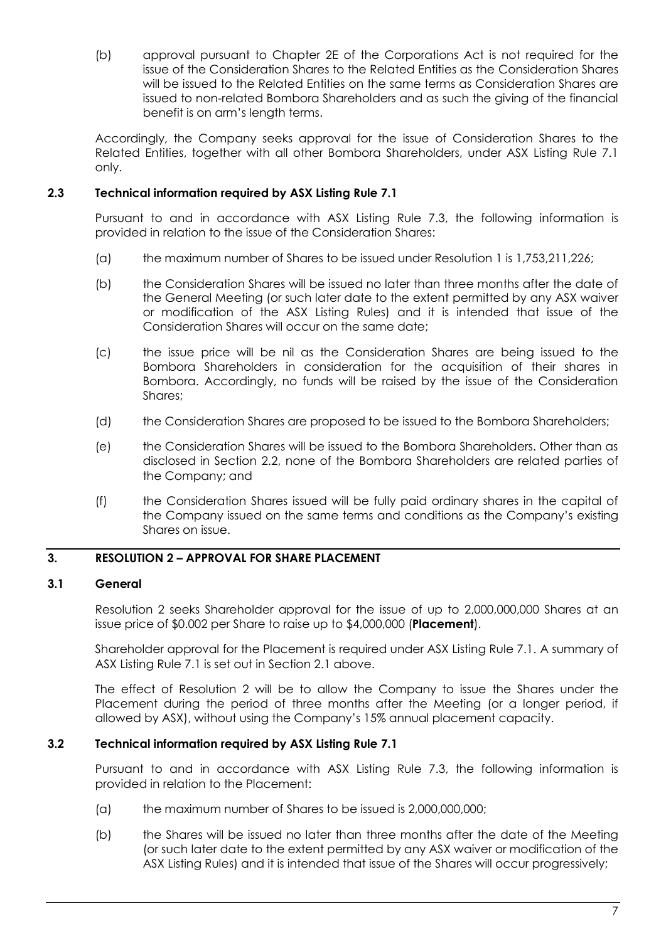(b) approval pursuant to Chapter 2E of the Corporations Act is not required for the issue of the Consideration Shares to the Related Entities as the Consideration Shares will be issued to the Related Entities on the same terms as Consideration Shares are issued to non-related Bombora Shareholders and as such the giving of the financial benefit is on arm's length terms.

Accordingly, the Company seeks approval for the issue of Consideration Shares to the Related Entities, together with all other Bombora Shareholders, under ASX Listing Rule 7.1 only.

### **2.3 Technical information required by ASX Listing Rule 7.1**

Pursuant to and in accordance with ASX Listing Rule 7.3, the following information is provided in relation to the issue of the Consideration Shares:

- (a) the maximum number of Shares to be issued under Resolution 1 is 1,753,211,226;
- (b) the Consideration Shares will be issued no later than three months after the date of the General Meeting (or such later date to the extent permitted by any ASX waiver or modification of the ASX Listing Rules) and it is intended that issue of the Consideration Shares will occur on the same date;
- (c) the issue price will be nil as the Consideration Shares are being issued to the Bombora Shareholders in consideration for the acquisition of their shares in Bombora. Accordingly, no funds will be raised by the issue of the Consideration Shares;
- (d) the Consideration Shares are proposed to be issued to the Bombora Shareholders;
- (e) the Consideration Shares will be issued to the Bombora Shareholders. Other than as disclosed in Section [2.2,](#page-6-0) none of the Bombora Shareholders are related parties of the Company; and
- (f) the Consideration Shares issued will be fully paid ordinary shares in the capital of the Company issued on the same terms and conditions as the Company's existing Shares on issue.

### **3. RESOLUTION 2 – APPROVAL FOR SHARE PLACEMENT**

### **3.1 General**

Resolution 2 seeks Shareholder approval for the issue of up to 2,000,000,000 Shares at an issue price of \$0.002 per Share to raise up to \$4,000,000 (**Placement**).

Shareholder approval for the Placement is required under ASX Listing Rule 7.1. A summary of ASX Listing Rule 7.1 is set out in Section 2.1 above.

The effect of Resolution 2 will be to allow the Company to issue the Shares under the Placement during the period of three months after the Meeting (or a longer period, if allowed by ASX), without using the Company's 15% annual placement capacity.

### **3.2 Technical information required by ASX Listing Rule 7.1**

Pursuant to and in accordance with ASX Listing Rule 7.3, the following information is provided in relation to the Placement:

- (a) the maximum number of Shares to be issued is 2,000,000,000;
- (b) the Shares will be issued no later than three months after the date of the Meeting (or such later date to the extent permitted by any ASX waiver or modification of the ASX Listing Rules) and it is intended that issue of the Shares will occur progressively;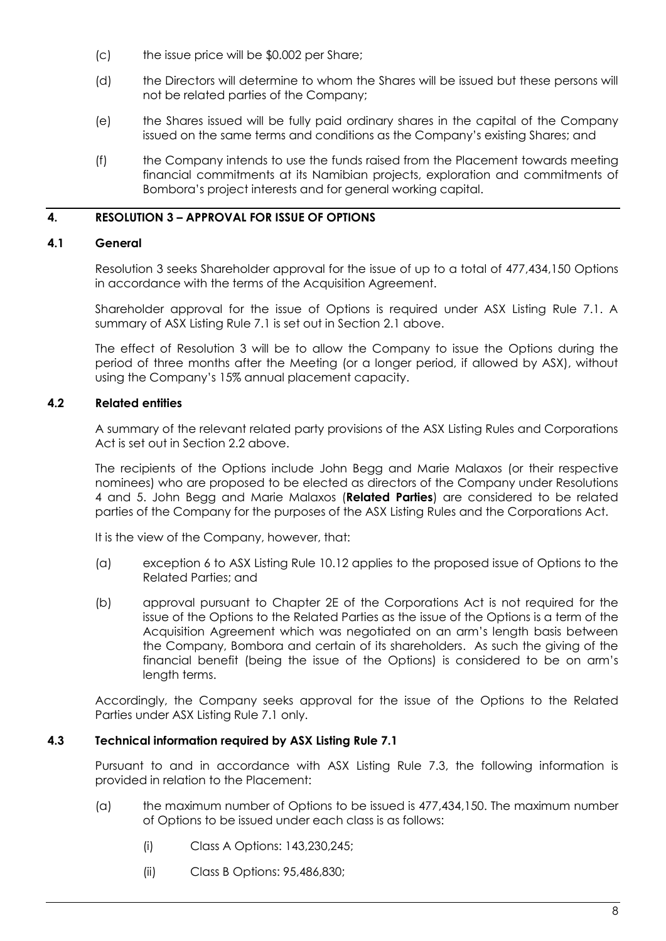- (c) the issue price will be \$0.002 per Share;
- (d) the Directors will determine to whom the Shares will be issued but these persons will not be related parties of the Company;
- (e) the Shares issued will be fully paid ordinary shares in the capital of the Company issued on the same terms and conditions as the Company's existing Shares; and
- (f) the Company intends to use the funds raised from the Placement towards meeting financial commitments at its Namibian projects, exploration and commitments of Bombora's project interests and for general working capital.

### **4. RESOLUTION 3 – APPROVAL FOR ISSUE OF OPTIONS**

### **4.1 General**

Resolution 3 seeks Shareholder approval for the issue of up to a total of 477,434,150 Options in accordance with the terms of the Acquisition Agreement.

Shareholder approval for the issue of Options is required under ASX Listing Rule 7.1. A summary of ASX Listing Rule 7.1 is set out in Section 2.1 above.

The effect of Resolution 3 will be to allow the Company to issue the Options during the period of three months after the Meeting (or a longer period, if allowed by ASX), without using the Company's 15% annual placement capacity.

### **4.2 Related entities**

A summary of the relevant related party provisions of the ASX Listing Rules and Corporations Act is set out in Section [2.2](#page-6-0) above.

The recipients of the Options include John Begg and Marie Malaxos (or their respective nominees) who are proposed to be elected as directors of the Company under Resolutions 4 and 5. John Begg and Marie Malaxos (**Related Parties**) are considered to be related parties of the Company for the purposes of the ASX Listing Rules and the Corporations Act.

It is the view of the Company, however, that:

- (a) exception 6 to ASX Listing Rule 10.12 applies to the proposed issue of Options to the Related Parties; and
- (b) approval pursuant to Chapter 2E of the Corporations Act is not required for the issue of the Options to the Related Parties as the issue of the Options is a term of the Acquisition Agreement which was negotiated on an arm's length basis between the Company, Bombora and certain of its shareholders. As such the giving of the financial benefit (being the issue of the Options) is considered to be on arm's length terms.

Accordingly, the Company seeks approval for the issue of the Options to the Related Parties under ASX Listing Rule 7.1 only.

### **4.3 Technical information required by ASX Listing Rule 7.1**

Pursuant to and in accordance with ASX Listing Rule 7.3, the following information is provided in relation to the Placement:

- (a) the maximum number of Options to be issued is 477,434,150. The maximum number of Options to be issued under each class is as follows:
	- (i) Class A Options: 143,230,245;
	- (ii) Class B Options: 95,486,830;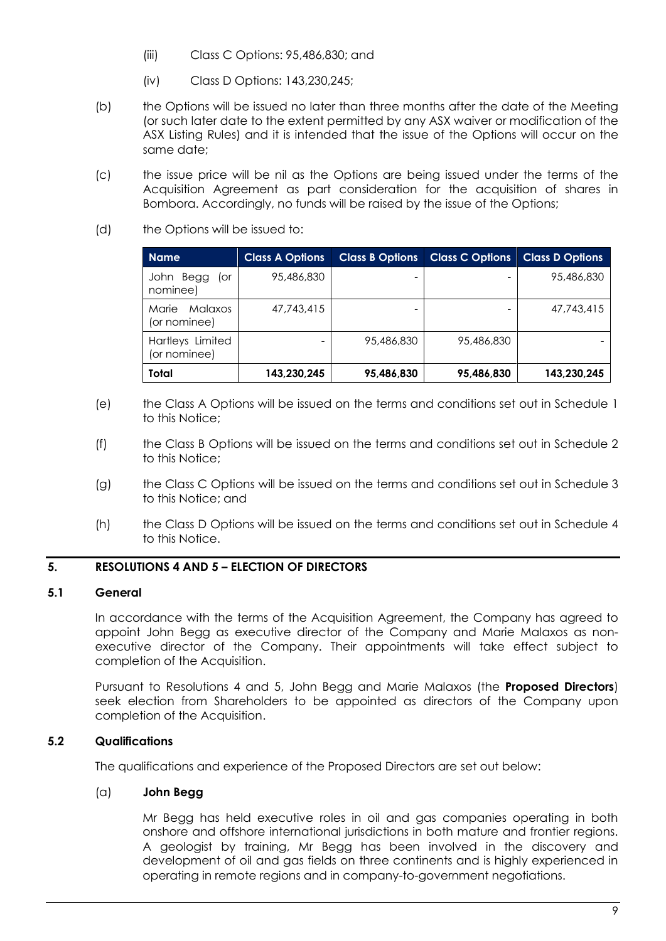- (iii) Class C Options: 95,486,830; and
- (iv) Class D Options: 143,230,245;
- (b) the Options will be issued no later than three months after the date of the Meeting (or such later date to the extent permitted by any ASX waiver or modification of the ASX Listing Rules) and it is intended that the issue of the Options will occur on the same date;
- (c) the issue price will be nil as the Options are being issued under the terms of the Acquisition Agreement as part consideration for the acquisition of shares in Bombora. Accordingly, no funds will be raised by the issue of the Options;
- (d) the Options will be issued to:

| <b>Name</b>                             | <b>Class A Options</b> | <b>Class B Options</b> | <b>Class C Options</b>   | <b>Class D Options</b> |
|-----------------------------------------|------------------------|------------------------|--------------------------|------------------------|
| Begg<br>John<br>(or<br>nominee)         | 95,486,830             |                        | $\overline{\phantom{0}}$ | 95,486,830             |
| <b>Malaxos</b><br>Marie<br>(or nominee) | 47.743.415             |                        | $\overline{\phantom{0}}$ | 47,743,415             |
| Hartleys Limited<br>(or nominee)        |                        | 95,486,830             | 95,486,830               |                        |
| Total                                   | 143,230,245            | 95,486,830             | 95,486,830               | 143,230,245            |

- (e) the Class A Options will be issued on the terms and conditions set out in Schedule 1 to this Notice;
- (f) the Class B Options will be issued on the terms and conditions set out in Schedule 2 to this Notice;
- (g) the Class C Options will be issued on the terms and conditions set out in Schedule 3 to this Notice; and
- (h) the Class D Options will be issued on the terms and conditions set out in Schedule 4 to this Notice.

### **5. RESOLUTIONS 4 AND 5 – ELECTION OF DIRECTORS**

### **5.1 General**

In accordance with the terms of the Acquisition Agreement, the Company has agreed to appoint John Begg as executive director of the Company and Marie Malaxos as nonexecutive director of the Company. Their appointments will take effect subject to completion of the Acquisition.

Pursuant to Resolutions 4 and 5, John Begg and Marie Malaxos (the **Proposed Directors**) seek election from Shareholders to be appointed as directors of the Company upon completion of the Acquisition.

### **5.2 Qualifications**

The qualifications and experience of the Proposed Directors are set out below:

### (a) **John Begg**

Mr Begg has held executive roles in oil and gas companies operating in both onshore and offshore international jurisdictions in both mature and frontier regions. A geologist by training, Mr Begg has been involved in the discovery and development of oil and gas fields on three continents and is highly experienced in operating in remote regions and in company-to-government negotiations.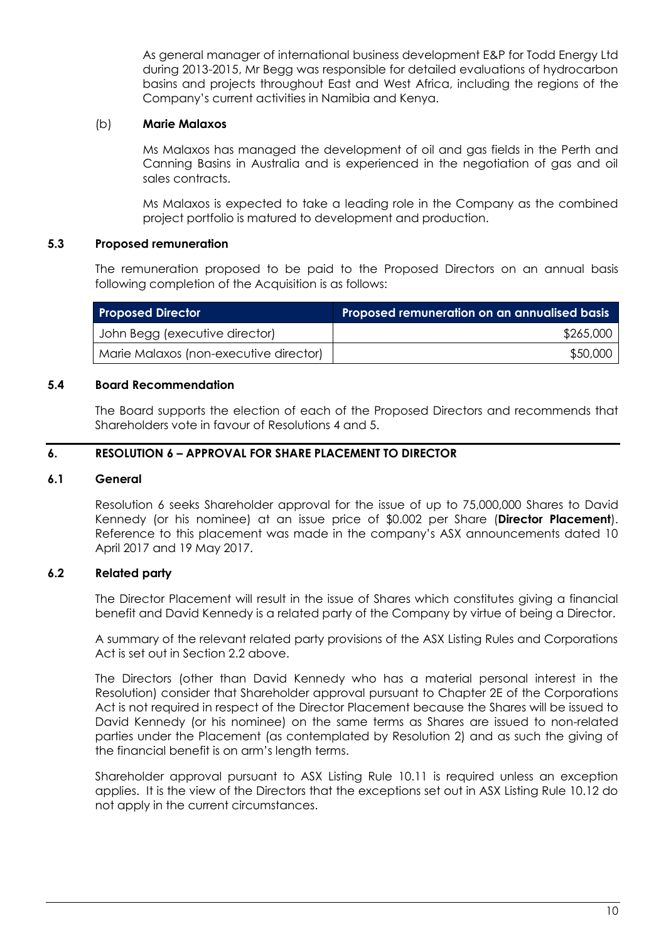As general manager of international business development E&P for Todd Energy Ltd during 2013-2015, Mr Begg was responsible for detailed evaluations of hydrocarbon basins and projects throughout East and West Africa, including the regions of the Company's current activities in Namibia and Kenya.

### (b) **Marie Malaxos**

Ms Malaxos has managed the development of oil and gas fields in the Perth and Canning Basins in Australia and is experienced in the negotiation of gas and oil sales contracts.

Ms Malaxos is expected to take a leading role in the Company as the combined project portfolio is matured to development and production.

### **5.3 Proposed remuneration**

The remuneration proposed to be paid to the Proposed Directors on an annual basis following completion of the Acquisition is as follows:

| <b>Proposed Director</b>               | Proposed remuneration on an annualised basis |  |  |
|----------------------------------------|----------------------------------------------|--|--|
| John Begg (executive director)         | \$265,000                                    |  |  |
| Marie Malaxos (non-executive director) | \$50,000                                     |  |  |

### **5.4 Board Recommendation**

The Board supports the election of each of the Proposed Directors and recommends that Shareholders vote in favour of Resolutions 4 and 5.

### **6. RESOLUTION 6 – APPROVAL FOR SHARE PLACEMENT TO DIRECTOR**

### **6.1 General**

Resolution 6 seeks Shareholder approval for the issue of up to 75,000,000 Shares to David Kennedy (or his nominee) at an issue price of \$0.002 per Share (**Director Placement**). Reference to this placement was made in the company's ASX announcements dated 10 April 2017 and 19 May 2017.

### **6.2 Related party**

The Director Placement will result in the issue of Shares which constitutes giving a financial benefit and David Kennedy is a related party of the Company by virtue of being a Director.

A summary of the relevant related party provisions of the ASX Listing Rules and Corporations Act is set out in Section [2.2](#page-6-0) above.

The Directors (other than David Kennedy who has a material personal interest in the Resolution) consider that Shareholder approval pursuant to Chapter 2E of the Corporations Act is not required in respect of the Director Placement because the Shares will be issued to David Kennedy (or his nominee) on the same terms as Shares are issued to non-related parties under the Placement (as contemplated by Resolution 2) and as such the giving of the financial benefit is on arm's length terms.

Shareholder approval pursuant to ASX Listing Rule 10.11 is required unless an exception applies. It is the view of the Directors that the exceptions set out in ASX Listing Rule 10.12 do not apply in the current circumstances.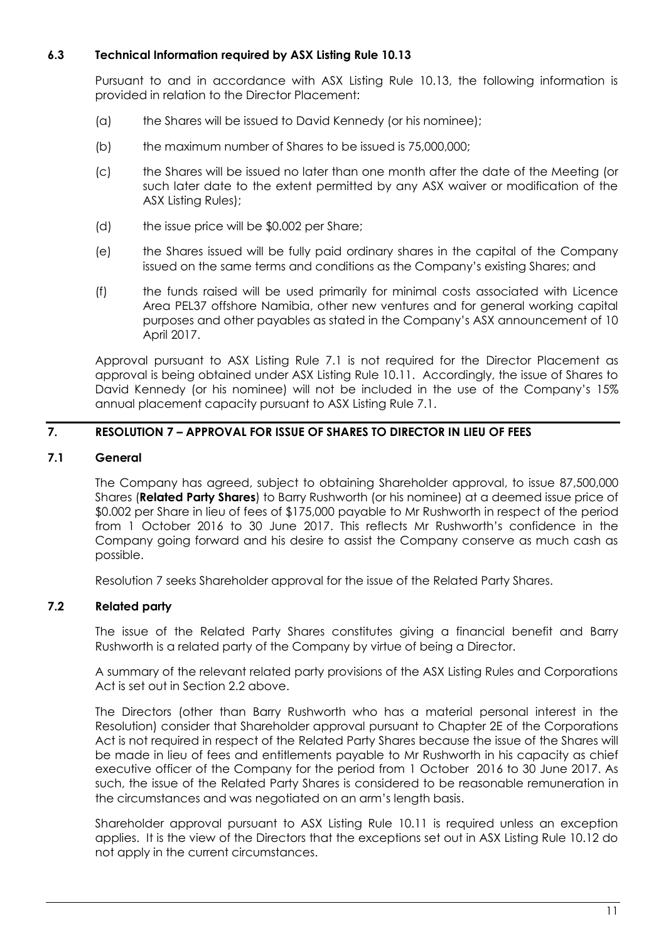### **6.3 Technical Information required by ASX Listing Rule 10.13**

Pursuant to and in accordance with ASX Listing Rule 10.13, the following information is provided in relation to the Director Placement:

- (a) the Shares will be issued to David Kennedy (or his nominee);
- (b) the maximum number of Shares to be issued is 75,000,000;
- (c) the Shares will be issued no later than one month after the date of the Meeting (or such later date to the extent permitted by any ASX waiver or modification of the ASX Listing Rules);
- (d) the issue price will be \$0.002 per Share;
- (e) the Shares issued will be fully paid ordinary shares in the capital of the Company issued on the same terms and conditions as the Company's existing Shares; and
- (f) the funds raised will be used primarily for minimal costs associated with Licence Area PEL37 offshore Namibia, other new ventures and for general working capital purposes and other payables as stated in the Company's ASX announcement of 10 April 2017.

Approval pursuant to ASX Listing Rule 7.1 is not required for the Director Placement as approval is being obtained under ASX Listing Rule 10.11. Accordingly, the issue of Shares to David Kennedy (or his nominee) will not be included in the use of the Company's 15% annual placement capacity pursuant to ASX Listing Rule 7.1.

### **7. RESOLUTION 7 – APPROVAL FOR ISSUE OF SHARES TO DIRECTOR IN LIEU OF FEES**

### **7.1 General**

The Company has agreed, subject to obtaining Shareholder approval, to issue 87,500,000 Shares (**Related Party Shares**) to Barry Rushworth (or his nominee) at a deemed issue price of \$0.002 per Share in lieu of fees of \$175,000 payable to Mr Rushworth in respect of the period from 1 October 2016 to 30 June 2017. This reflects Mr Rushworth's confidence in the Company going forward and his desire to assist the Company conserve as much cash as possible.

Resolution 7 seeks Shareholder approval for the issue of the Related Party Shares.

### **7.2 Related party**

The issue of the Related Party Shares constitutes giving a financial benefit and Barry Rushworth is a related party of the Company by virtue of being a Director.

A summary of the relevant related party provisions of the ASX Listing Rules and Corporations Act is set out in Section [2.2](#page-6-0) above.

The Directors (other than Barry Rushworth who has a material personal interest in the Resolution) consider that Shareholder approval pursuant to Chapter 2E of the Corporations Act is not required in respect of the Related Party Shares because the issue of the Shares will be made in lieu of fees and entitlements payable to Mr Rushworth in his capacity as chief executive officer of the Company for the period from 1 October 2016 to 30 June 2017. As such, the issue of the Related Party Shares is considered to be reasonable remuneration in the circumstances and was negotiated on an arm's length basis.

Shareholder approval pursuant to ASX Listing Rule 10.11 is required unless an exception applies. It is the view of the Directors that the exceptions set out in ASX Listing Rule 10.12 do not apply in the current circumstances.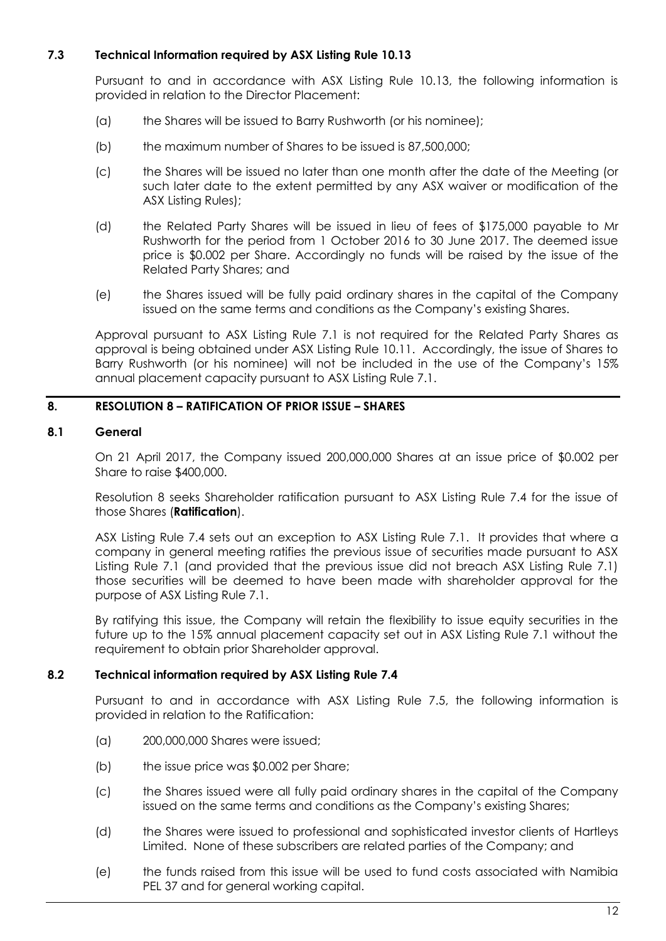### **7.3 Technical Information required by ASX Listing Rule 10.13**

Pursuant to and in accordance with ASX Listing Rule 10.13, the following information is provided in relation to the Director Placement:

- (a) the Shares will be issued to Barry Rushworth (or his nominee);
- (b) the maximum number of Shares to be issued is 87,500,000;
- (c) the Shares will be issued no later than one month after the date of the Meeting (or such later date to the extent permitted by any ASX waiver or modification of the ASX Listing Rules);
- (d) the Related Party Shares will be issued in lieu of fees of \$175,000 payable to Mr Rushworth for the period from 1 October 2016 to 30 June 2017. The deemed issue price is \$0.002 per Share. Accordingly no funds will be raised by the issue of the Related Party Shares; and
- (e) the Shares issued will be fully paid ordinary shares in the capital of the Company issued on the same terms and conditions as the Company's existing Shares.

Approval pursuant to ASX Listing Rule 7.1 is not required for the Related Party Shares as approval is being obtained under ASX Listing Rule 10.11. Accordingly, the issue of Shares to Barry Rushworth (or his nominee) will not be included in the use of the Company's 15% annual placement capacity pursuant to ASX Listing Rule 7.1.

### **8. RESOLUTION 8 – RATIFICATION OF PRIOR ISSUE – SHARES**

#### <span id="page-12-0"></span>**8.1 General**

On 21 April 2017, the Company issued 200,000,000 Shares at an issue price of \$0.002 per Share to raise \$400,000.

Resolution 8 seeks Shareholder ratification pursuant to ASX Listing Rule 7.4 for the issue of those Shares (**Ratification**).

ASX Listing Rule 7.4 sets out an exception to ASX Listing Rule 7.1. It provides that where a company in general meeting ratifies the previous issue of securities made pursuant to ASX Listing Rule 7.1 (and provided that the previous issue did not breach ASX Listing Rule 7.1) those securities will be deemed to have been made with shareholder approval for the purpose of ASX Listing Rule 7.1.

By ratifying this issue, the Company will retain the flexibility to issue equity securities in the future up to the 15% annual placement capacity set out in ASX Listing Rule 7.1 without the requirement to obtain prior Shareholder approval.

### **8.2 Technical information required by ASX Listing Rule 7.4**

Pursuant to and in accordance with ASX Listing Rule 7.5, the following information is provided in relation to the Ratification:

- (a) 200,000,000 Shares were issued;
- (b) the issue price was \$0.002 per Share;
- (c) the Shares issued were all fully paid ordinary shares in the capital of the Company issued on the same terms and conditions as the Company's existing Shares;
- (d) the Shares were issued to professional and sophisticated investor clients of Hartleys Limited. None of these subscribers are related parties of the Company; and
- (e) the funds raised from this issue will be used to fund costs associated with Namibia PEL 37 and for general working capital.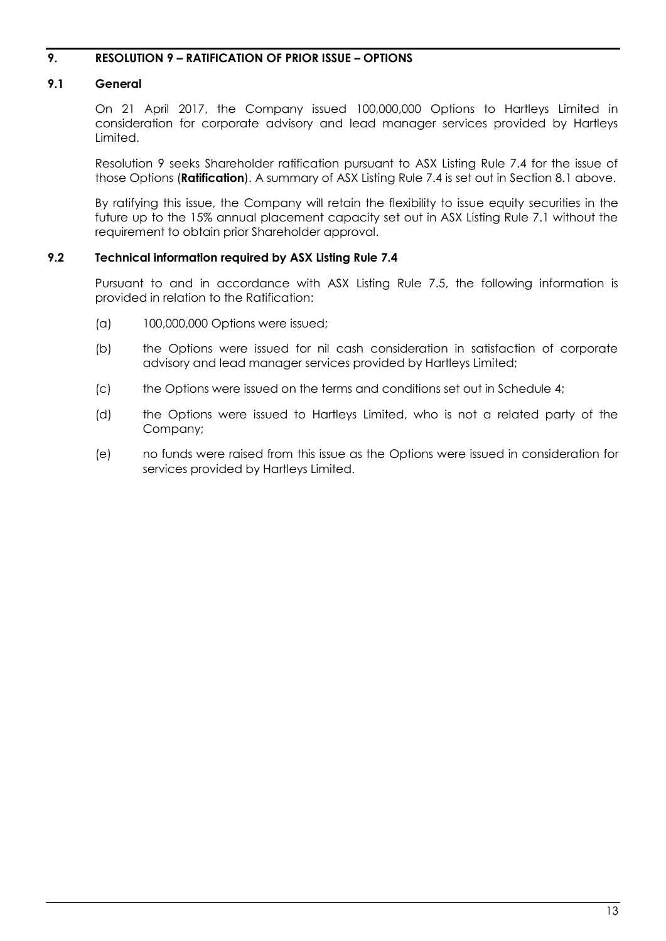### **9. RESOLUTION 9 – RATIFICATION OF PRIOR ISSUE – OPTIONS**

### **9.1 General**

On 21 April 2017, the Company issued 100,000,000 Options to Hartleys Limited in consideration for corporate advisory and lead manager services provided by Hartleys Limited.

Resolution 9 seeks Shareholder ratification pursuant to ASX Listing Rule 7.4 for the issue of those Options (**Ratification**). A summary of ASX Listing Rule 7.4 is set out in Section [8.1](#page-12-0) above.

By ratifying this issue, the Company will retain the flexibility to issue equity securities in the future up to the 15% annual placement capacity set out in ASX Listing Rule 7.1 without the requirement to obtain prior Shareholder approval.

### **9.2 Technical information required by ASX Listing Rule 7.4**

Pursuant to and in accordance with ASX Listing Rule 7.5, the following information is provided in relation to the Ratification:

- (a) 100,000,000 Options were issued;
- (b) the Options were issued for nil cash consideration in satisfaction of corporate advisory and lead manager services provided by Hartleys Limited;
- (c) the Options were issued on the terms and conditions set out in Schedule 4;
- (d) the Options were issued to Hartleys Limited, who is not a related party of the Company;
- (e) no funds were raised from this issue as the Options were issued in consideration for services provided by Hartleys Limited.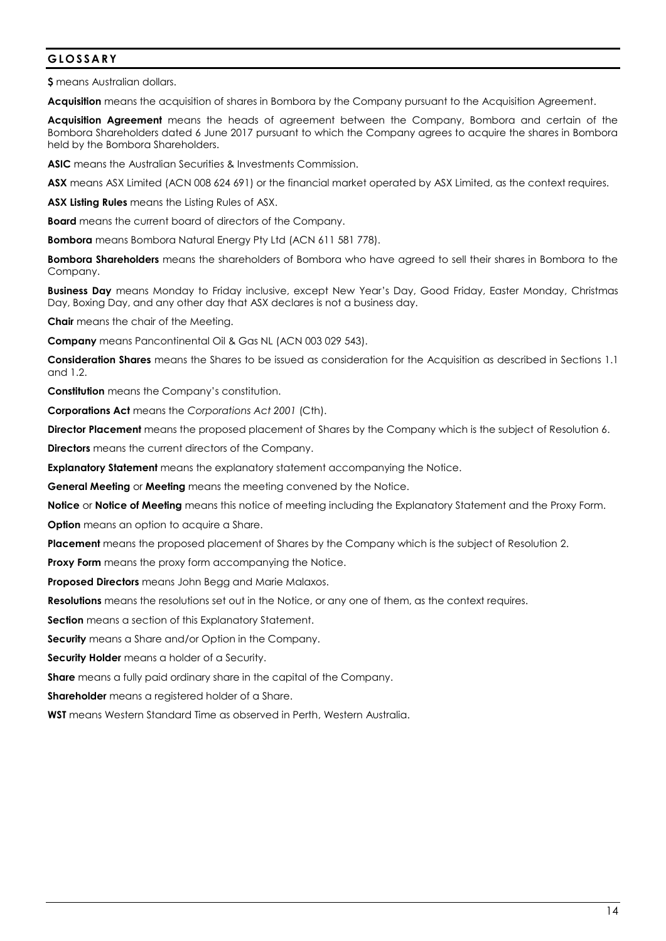### **G L O S S A R Y**

**\$** means Australian dollars.

**Acquisition** means the acquisition of shares in Bombora by the Company pursuant to the Acquisition Agreement.

**Acquisition Agreement** means the heads of agreement between the Company, Bombora and certain of the Bombora Shareholders dated 6 June 2017 pursuant to which the Company agrees to acquire the shares in Bombora held by the Bombora Shareholders.

**ASIC** means the Australian Securities & Investments Commission.

**ASX** means ASX Limited (ACN 008 624 691) or the financial market operated by ASX Limited, as the context requires.

**ASX Listing Rules** means the Listing Rules of ASX.

**Board** means the current board of directors of the Company.

**Bombora** means Bombora Natural Energy Pty Ltd (ACN 611 581 778).

**Bombora Shareholders** means the shareholders of Bombora who have agreed to sell their shares in Bombora to the Company.

**Business Day** means Monday to Friday inclusive, except New Year's Day, Good Friday, Easter Monday, Christmas Day, Boxing Day, and any other day that ASX declares is not a business day.

**Chair** means the chair of the Meeting.

**Company** means Pancontinental Oil & Gas NL (ACN 003 029 543).

**Consideration Shares** means the Shares to be issued as consideration for the Acquisition as described in Sections 1.1 and 1.2.

**Constitution** means the Company's constitution.

**Corporations Act** means the *Corporations Act 2001* (Cth).

**Director Placement** means the proposed placement of Shares by the Company which is the subject of Resolution 6.

**Directors** means the current directors of the Company.

**Explanatory Statement** means the explanatory statement accompanying the Notice.

**General Meeting** or **Meeting** means the meeting convened by the Notice.

**Notice** or **Notice of Meeting** means this notice of meeting including the Explanatory Statement and the Proxy Form.

**Option** means an option to acquire a Share.

**Placement** means the proposed placement of Shares by the Company which is the subject of Resolution 2.

**Proxy Form** means the proxy form accompanying the Notice.

**Proposed Directors** means John Begg and Marie Malaxos.

**Resolutions** means the resolutions set out in the Notice, or any one of them, as the context requires.

**Section** means a section of this Explanatory Statement.

**Security** means a Share and/or Option in the Company.

**Security Holder** means a holder of a Security.

**Share** means a fully paid ordinary share in the capital of the Company.

**Shareholder** means a registered holder of a Share.

**WST** means Western Standard Time as observed in Perth, Western Australia.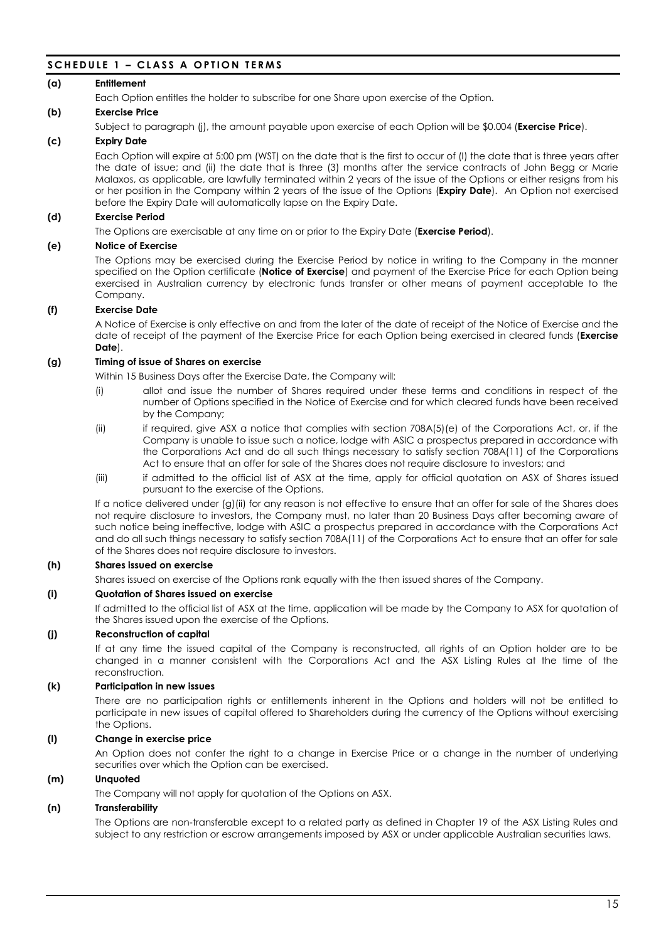### **S C H E D U L E 1 – C L A S S A O P T I O N T E R M S**

#### **(a) Entitlement**

Each Option entitles the holder to subscribe for one Share upon exercise of the Option.

#### **(b) Exercise Price**

Subject to paragrap[h \(j\),](#page-15-0) the amount payable upon exercise of each Option will be \$0.004 (**Exercise Price**).

#### **(c) Expiry Date**

Each Option will expire at 5:00 pm (WST) on the date that is the first to occur of (I) the date that is three years after the date of issue; and (ii) the date that is three (3) months after the service contracts of John Begg or Marie Malaxos, as applicable, are lawfully terminated within 2 years of the issue of the Options or either resigns from his or her position in the Company within 2 years of the issue of the Options (**Expiry Date**). An Option not exercised before the Expiry Date will automatically lapse on the Expiry Date.

#### **(d) Exercise Period**

The Options are exercisable at any time on or prior to the Expiry Date (**Exercise Period**).

#### **(e) Notice of Exercise**

The Options may be exercised during the Exercise Period by notice in writing to the Company in the manner specified on the Option certificate (**Notice of Exercise**) and payment of the Exercise Price for each Option being exercised in Australian currency by electronic funds transfer or other means of payment acceptable to the Company.

#### **(f) Exercise Date**

A Notice of Exercise is only effective on and from the later of the date of receipt of the Notice of Exercise and the date of receipt of the payment of the Exercise Price for each Option being exercised in cleared funds (**Exercise Date**).

#### <span id="page-15-1"></span>**(g) Timing of issue of Shares on exercise**

Within 15 Business Days after the Exercise Date, the Company will:

- (i) allot and issue the number of Shares required under these terms and conditions in respect of the number of Options specified in the Notice of Exercise and for which cleared funds have been received by the Company;
- (ii) if required, give ASX a notice that complies with section 708A(5)(e) of the Corporations Act, or, if the Company is unable to issue such a notice, lodge with ASIC a prospectus prepared in accordance with the Corporations Act and do all such things necessary to satisfy section 708A(11) of the Corporations Act to ensure that an offer for sale of the Shares does not require disclosure to investors; and
- (iii) if admitted to the official list of ASX at the time, apply for official quotation on ASX of Shares issued pursuant to the exercise of the Options.

If a notice delivered under [\(g\)\(ii\)](#page-15-1) for any reason is not effective to ensure that an offer for sale of the Shares does not require disclosure to investors, the Company must, no later than 20 Business Days after becoming aware of such notice being ineffective, lodge with ASIC a prospectus prepared in accordance with the Corporations Act and do all such things necessary to satisfy section 708A(11) of the Corporations Act to ensure that an offer for sale of the Shares does not require disclosure to investors.

#### **(h) Shares issued on exercise**

Shares issued on exercise of the Options rank equally with the then issued shares of the Company.

#### **(i) Quotation of Shares issued on exercise**

If admitted to the official list of ASX at the time, application will be made by the Company to ASX for quotation of the Shares issued upon the exercise of the Options.

#### <span id="page-15-0"></span>**(j) Reconstruction of capital**

If at any time the issued capital of the Company is reconstructed, all rights of an Option holder are to be changed in a manner consistent with the Corporations Act and the ASX Listing Rules at the time of the reconstruction.

#### **(k) Participation in new issues**

There are no participation rights or entitlements inherent in the Options and holders will not be entitled to participate in new issues of capital offered to Shareholders during the currency of the Options without exercising the Options.

#### **(l) Change in exercise price**

An Option does not confer the right to a change in Exercise Price or a change in the number of underlying securities over which the Option can be exercised.

#### **(m) Unquoted**

The Company will not apply for quotation of the Options on ASX.

#### **(n) Transferability**

The Options are non-transferable except to a related party as defined in Chapter 19 of the ASX Listing Rules and subject to any restriction or escrow arrangements imposed by ASX or under applicable Australian securities laws.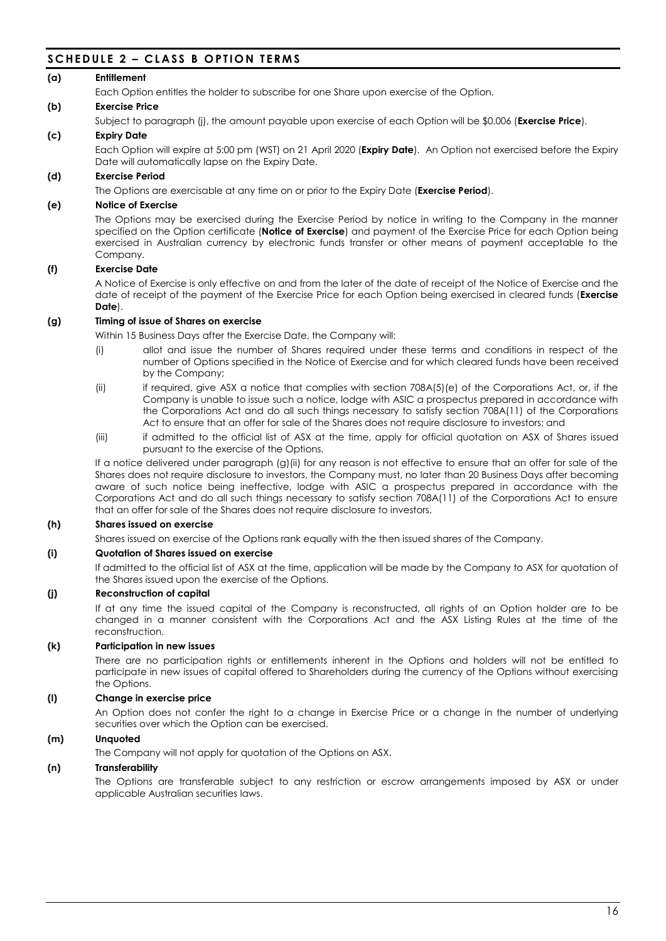### **S C H E D U L E 2 – C L A S S B O PT I O N T E R M S**

#### **(a) Entitlement**

Each Option entitles the holder to subscribe for one Share upon exercise of the Option.

#### **(b) Exercise Price**

Subject to paragraph (j), the amount payable upon exercise of each Option will be \$0.006 (**Exercise Price**).

#### **(c) Expiry Date**

Each Option will expire at 5:00 pm (WST) on 21 April 2020 (**Expiry Date**). An Option not exercised before the Expiry Date will automatically lapse on the Expiry Date.

#### **(d) Exercise Period**

The Options are exercisable at any time on or prior to the Expiry Date (**Exercise Period**).

#### **(e) Notice of Exercise**

The Options may be exercised during the Exercise Period by notice in writing to the Company in the manner specified on the Option certificate (**Notice of Exercise**) and payment of the Exercise Price for each Option being exercised in Australian currency by electronic funds transfer or other means of payment acceptable to the Company.

#### **(f) Exercise Date**

A Notice of Exercise is only effective on and from the later of the date of receipt of the Notice of Exercise and the date of receipt of the payment of the Exercise Price for each Option being exercised in cleared funds (**Exercise Date**).

#### **(g) Timing of issue of Shares on exercise**

Within 15 Business Days after the Exercise Date, the Company will:

- (i) allot and issue the number of Shares required under these terms and conditions in respect of the number of Options specified in the Notice of Exercise and for which cleared funds have been received by the Company;
- (ii) if required, give ASX a notice that complies with section 708A(5)(e) of the Corporations Act, or, if the Company is unable to issue such a notice, lodge with ASIC a prospectus prepared in accordance with the Corporations Act and do all such things necessary to satisfy section 708A(11) of the Corporations Act to ensure that an offer for sale of the Shares does not require disclosure to investors; and
- (iii) if admitted to the official list of ASX at the time, apply for official quotation on ASX of Shares issued pursuant to the exercise of the Options.

If a notice delivered under paragraph (g)(ii) for any reason is not effective to ensure that an offer for sale of the Shares does not require disclosure to investors, the Company must, no later than 20 Business Days after becoming aware of such notice being ineffective, lodge with ASIC a prospectus prepared in accordance with the Corporations Act and do all such things necessary to satisfy section 708A(11) of the Corporations Act to ensure that an offer for sale of the Shares does not require disclosure to investors.

#### **(h) Shares issued on exercise**

Shares issued on exercise of the Options rank equally with the then issued shares of the Company.

#### **(i) Quotation of Shares issued on exercise**

If admitted to the official list of ASX at the time, application will be made by the Company to ASX for quotation of the Shares issued upon the exercise of the Options.

#### **(j) Reconstruction of capital**

If at any time the issued capital of the Company is reconstructed, all rights of an Option holder are to be changed in a manner consistent with the Corporations Act and the ASX Listing Rules at the time of the reconstruction.

#### **(k) Participation in new issues**

There are no participation rights or entitlements inherent in the Options and holders will not be entitled to participate in new issues of capital offered to Shareholders during the currency of the Options without exercising the Options.

#### **(l) Change in exercise price**

An Option does not confer the right to a change in Exercise Price or a change in the number of underlying securities over which the Option can be exercised.

#### **(m) Unquoted**

The Company will not apply for quotation of the Options on ASX.

#### **(n) Transferability**

The Options are transferable subject to any restriction or escrow arrangements imposed by ASX or under applicable Australian securities laws.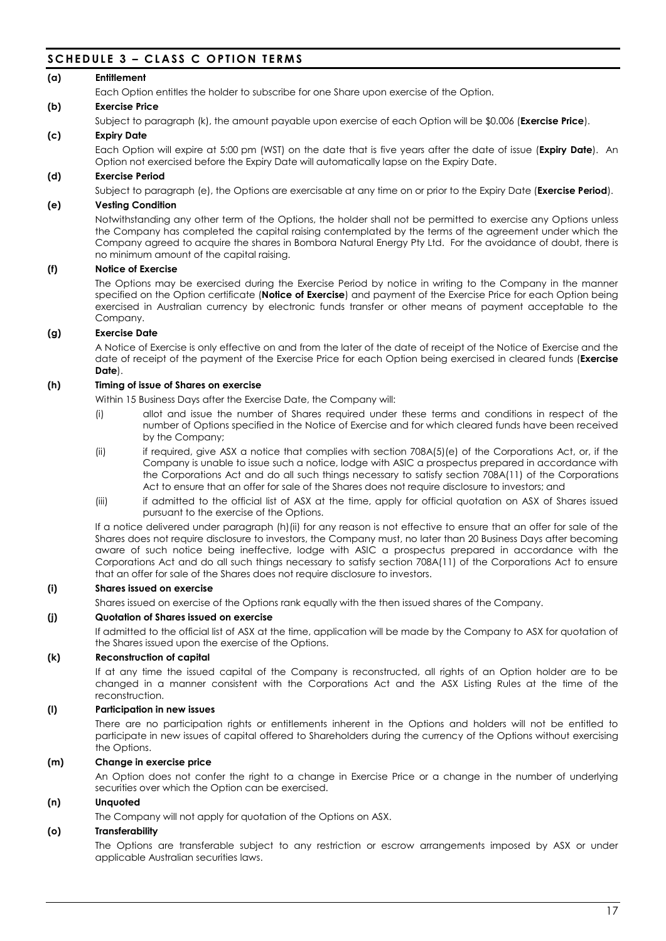### **S C H E D U L E 3 – C L A S S C O P T I O N T E R M S**

#### **(a) Entitlement**

Each Option entitles the holder to subscribe for one Share upon exercise of the Option.

#### **(b) Exercise Price**

Subject to paragrap[h \(k\),](#page-17-0) the amount payable upon exercise of each Option will be \$0.006 (**Exercise Price**).

#### **(c) Expiry Date**

Each Option will expire at 5:00 pm (WST) on the date that is five years after the date of issue (**Expiry Date**). An Option not exercised before the Expiry Date will automatically lapse on the Expiry Date.

#### **(d) Exercise Period**

Subject to paragrap[h \(e\),](#page-17-1) the Options are exercisable at any time on or prior to the Expiry Date (**Exercise Period**).

#### <span id="page-17-1"></span>**(e) Vesting Condition**

Notwithstanding any other term of the Options, the holder shall not be permitted to exercise any Options unless the Company has completed the capital raising contemplated by the terms of the agreement under which the Company agreed to acquire the shares in Bombora Natural Energy Pty Ltd. For the avoidance of doubt, there is no minimum amount of the capital raising.

#### **(f) Notice of Exercise**

The Options may be exercised during the Exercise Period by notice in writing to the Company in the manner specified on the Option certificate (**Notice of Exercise**) and payment of the Exercise Price for each Option being exercised in Australian currency by electronic funds transfer or other means of payment acceptable to the Company.

#### **(g) Exercise Date**

A Notice of Exercise is only effective on and from the later of the date of receipt of the Notice of Exercise and the date of receipt of the payment of the Exercise Price for each Option being exercised in cleared funds (**Exercise Date**).

#### <span id="page-17-2"></span>**(h) Timing of issue of Shares on exercise**

Within 15 Business Days after the Exercise Date, the Company will:

- (i) allot and issue the number of Shares required under these terms and conditions in respect of the number of Options specified in the Notice of Exercise and for which cleared funds have been received by the Company;
- (ii) if required, give ASX a notice that complies with section 708A(5)(e) of the Corporations Act, or, if the Company is unable to issue such a notice, lodge with ASIC a prospectus prepared in accordance with the Corporations Act and do all such things necessary to satisfy section 708A(11) of the Corporations Act to ensure that an offer for sale of the Shares does not require disclosure to investors; and
- (iii) if admitted to the official list of ASX at the time, apply for official quotation on ASX of Shares issued pursuant to the exercise of the Options.

If a notice delivered under paragraph [\(h\)\(ii\)](#page-17-2) for any reason is not effective to ensure that an offer for sale of the Shares does not require disclosure to investors, the Company must, no later than 20 Business Days after becoming aware of such notice being ineffective, lodge with ASIC a prospectus prepared in accordance with the Corporations Act and do all such things necessary to satisfy section 708A(11) of the Corporations Act to ensure that an offer for sale of the Shares does not require disclosure to investors.

#### **(i) Shares issued on exercise**

Shares issued on exercise of the Options rank equally with the then issued shares of the Company.

#### **(j) Quotation of Shares issued on exercise**

If admitted to the official list of ASX at the time, application will be made by the Company to ASX for quotation of the Shares issued upon the exercise of the Options.

#### <span id="page-17-0"></span>**(k) Reconstruction of capital**

If at any time the issued capital of the Company is reconstructed, all rights of an Option holder are to be changed in a manner consistent with the Corporations Act and the ASX Listing Rules at the time of the reconstruction.

#### **(l) Participation in new issues**

There are no participation rights or entitlements inherent in the Options and holders will not be entitled to participate in new issues of capital offered to Shareholders during the currency of the Options without exercising the Options.

#### **(m) Change in exercise price**

An Option does not confer the right to a change in Exercise Price or a change in the number of underlying securities over which the Option can be exercised.

#### **(n) Unquoted**

The Company will not apply for quotation of the Options on ASX.

#### **(o) Transferability**

The Options are transferable subject to any restriction or escrow arrangements imposed by ASX or under applicable Australian securities laws.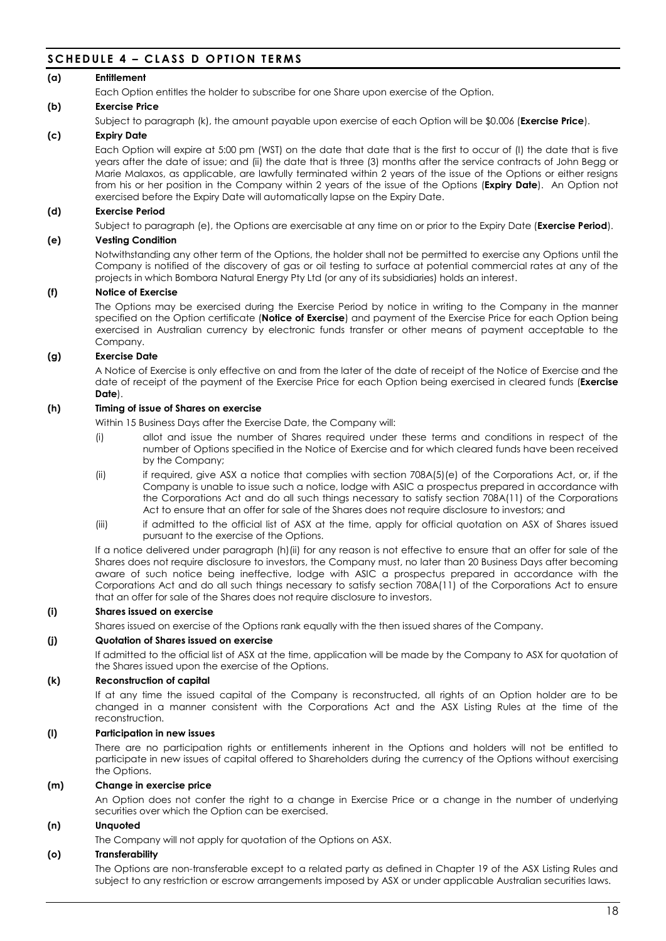### **S C H E D U L E 4 – C L A S S D O PT I O N T E R M S**

#### **(a) Entitlement**

Each Option entitles the holder to subscribe for one Share upon exercise of the Option.

#### **(b) Exercise Price**

Subject to paragrap[h \(k\),](#page-17-0) the amount payable upon exercise of each Option will be \$0.006 (**Exercise Price**).

#### **(c) Expiry Date**

Each Option will expire at 5:00 pm (WST) on the date that date that is the first to occur of (I) the date that is five years after the date of issue; and (ii) the date that is three (3) months after the service contracts of John Begg or Marie Malaxos, as applicable, are lawfully terminated within 2 years of the issue of the Options or either resigns from his or her position in the Company within 2 years of the issue of the Options (**Expiry Date**). An Option not exercised before the Expiry Date will automatically lapse on the Expiry Date.

#### **(d) Exercise Period**

Subject to paragrap[h \(e\),](#page-17-1) the Options are exercisable at any time on or prior to the Expiry Date (**Exercise Period**).

#### **(e) Vesting Condition**

Notwithstanding any other term of the Options, the holder shall not be permitted to exercise any Options until the Company is notified of the discovery of gas or oil testing to surface at potential commercial rates at any of the projects in which Bombora Natural Energy Pty Ltd (or any of its subsidiaries) holds an interest.

#### **(f) Notice of Exercise**

The Options may be exercised during the Exercise Period by notice in writing to the Company in the manner specified on the Option certificate (**Notice of Exercise**) and payment of the Exercise Price for each Option being exercised in Australian currency by electronic funds transfer or other means of payment acceptable to the Company.

#### **(g) Exercise Date**

A Notice of Exercise is only effective on and from the later of the date of receipt of the Notice of Exercise and the date of receipt of the payment of the Exercise Price for each Option being exercised in cleared funds (**Exercise Date**).

#### **(h) Timing of issue of Shares on exercise**

Within 15 Business Days after the Exercise Date, the Company will:

- (i) allot and issue the number of Shares required under these terms and conditions in respect of the number of Options specified in the Notice of Exercise and for which cleared funds have been received by the Company;
- (ii) if required, give ASX a notice that complies with section 708A(5)(e) of the Corporations Act, or, if the Company is unable to issue such a notice, lodge with ASIC a prospectus prepared in accordance with the Corporations Act and do all such things necessary to satisfy section 708A(11) of the Corporations Act to ensure that an offer for sale of the Shares does not require disclosure to investors; and
- (iii) if admitted to the official list of ASX at the time, apply for official quotation on ASX of Shares issued pursuant to the exercise of the Options.

If a notice delivered under paragraph [\(h\)\(ii\)](#page-17-2) for any reason is not effective to ensure that an offer for sale of the Shares does not require disclosure to investors, the Company must, no later than 20 Business Days after becoming aware of such notice being ineffective, lodge with ASIC a prospectus prepared in accordance with the Corporations Act and do all such things necessary to satisfy section 708A(11) of the Corporations Act to ensure that an offer for sale of the Shares does not require disclosure to investors.

#### **(i) Shares issued on exercise**

Shares issued on exercise of the Options rank equally with the then issued shares of the Company.

#### **(j) Quotation of Shares issued on exercise**

If admitted to the official list of ASX at the time, application will be made by the Company to ASX for quotation of the Shares issued upon the exercise of the Options.

#### **(k) Reconstruction of capital**

If at any time the issued capital of the Company is reconstructed, all rights of an Option holder are to be changed in a manner consistent with the Corporations Act and the ASX Listing Rules at the time of the reconstruction.

#### **(l) Participation in new issues**

There are no participation rights or entitlements inherent in the Options and holders will not be entitled to participate in new issues of capital offered to Shareholders during the currency of the Options without exercising the Options.

#### **(m) Change in exercise price**

An Option does not confer the right to a change in Exercise Price or a change in the number of underlying securities over which the Option can be exercised.

#### **(n) Unquoted**

The Company will not apply for quotation of the Options on ASX.

### **(o) Transferability**

The Options are non-transferable except to a related party as defined in Chapter 19 of the ASX Listing Rules and subject to any restriction or escrow arrangements imposed by ASX or under applicable Australian securities laws.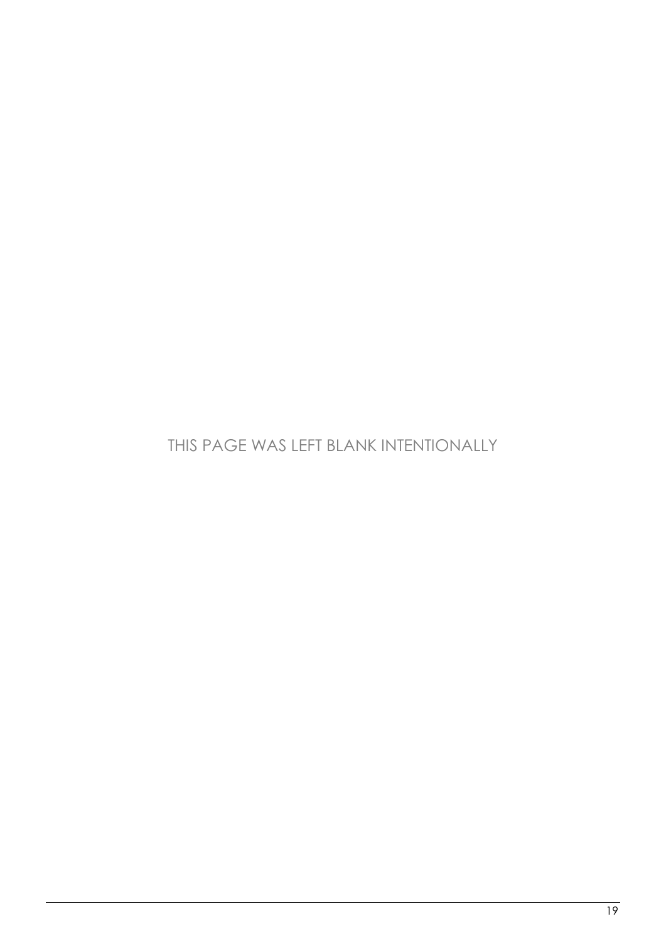THIS PAGE WAS LEFT BLANK INTENTIONALLY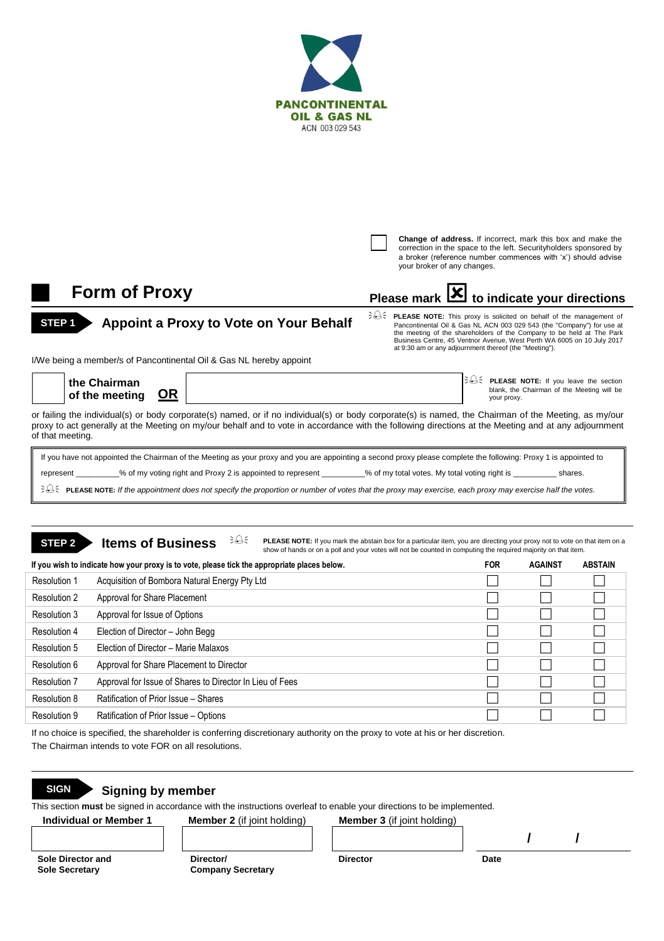

|                                                             | <b>Change of address.</b> If incorrect, mark this box and make the<br>correction in the space to the left. Security holders sponsored by<br>a broker (reference number commences with 'x') should advise<br>your broker of any changes.                                                                                                                                  |
|-------------------------------------------------------------|--------------------------------------------------------------------------------------------------------------------------------------------------------------------------------------------------------------------------------------------------------------------------------------------------------------------------------------------------------------------------|
| <b>Form of Proxy</b>                                        | Please mark $\mathbf{X}$ to indicate your directions                                                                                                                                                                                                                                                                                                                     |
| Appoint a Proxy to Vote on Your Behalf<br>STEP <sub>1</sub> | $\frac{1}{2}$ PLEASE NOTE: This proxy is solicited on behalf of the management of<br>Pancontinental Oil & Gas NL ACN 003 029 543 (the "Company") for use at<br>the meeting of the shareholders of the Company to be held at The Park<br>Business Centre, 45 Ventnor Avenue, West Perth WA 6005 on 10 July 2017<br>at 9:30 am or any adjournment thereof (the "Meeting"). |

I/We being a member/s of Pancontinental Oil & Gas NL hereby appoint

| the Chairman<br>of the meeting | <b>OR</b> |  | <b>PLEASE NOTE:</b> If you leave the section<br>blank, the Chairman of the Meeting will be<br>your proxy. |
|--------------------------------|-----------|--|-----------------------------------------------------------------------------------------------------------|
|                                |           |  |                                                                                                           |

or failing the individual(s) or body corporate(s) named, or if no individual(s) or body corporate(s) is named, the Chairman of the Meeting, as my/our proxy to act generally at the Meeting on my/our behalf and to vote in accordance with the following directions at the Meeting and at any adjournment of that meeting.

| If you have not appointed the Chairman of the Meeting as your proxy and you are appointing a second proxy please complete the following: Proxy 1 is appointed to                |  |  |  |  |  |
|---------------------------------------------------------------------------------------------------------------------------------------------------------------------------------|--|--|--|--|--|
| % of my voting right and Proxy 2 is appointed to represent<br>% of my total votes. My total voting right is<br>shares.<br>represent                                             |  |  |  |  |  |
| $\exists \triangle \in$ PLEASE NOTE: If the appointment does not specify the proportion or number of votes that the proxy may exercise, each proxy may exercise half the votes. |  |  |  |  |  |

 **PLEASE NOTE:** If you mark the abstain box for a particular item, you are directing your proxy not to vote on that item on a show of hands or on a poll and your votes will not be counted in computing the required majority on that item.

|              | If you wish to indicate how your proxy is to vote, please tick the appropriate places below. | <b>FOR</b> | <b>AGAINST</b> | <b>ABSTAIN</b> |
|--------------|----------------------------------------------------------------------------------------------|------------|----------------|----------------|
| Resolution 1 | Acquisition of Bombora Natural Energy Pty Ltd                                                |            |                |                |
| Resolution 2 | Approval for Share Placement                                                                 |            |                |                |
| Resolution 3 | Approval for Issue of Options                                                                |            |                |                |
| Resolution 4 | Election of Director - John Begg                                                             |            |                |                |
| Resolution 5 | Election of Director - Marie Malaxos                                                         |            |                |                |
| Resolution 6 | Approval for Share Placement to Director                                                     |            |                |                |
| Resolution 7 | Approval for Issue of Shares to Director In Lieu of Fees                                     |            |                |                |
| Resolution 8 | Ratification of Prior Issue - Shares                                                         |            |                |                |
| Resolution 9 | Ratification of Prior Issue - Options                                                        |            |                |                |

If no choice is specified, the shareholder is conferring discretionary authority on the proxy to vote at his or her discretion.

The Chairman intends to vote FOR on all resolutions.



**Signing by member**

This section **must** be signed in accordance with the instructions overleaf to enable your directions to be implemented.

**Individual or Member 1 Member 2** (if joint holding) **Member 3** (if joint holding)

**Sole Director and Sole Secretary**

**Director/ Company Secretary**

**Director Date** 

**/ /**